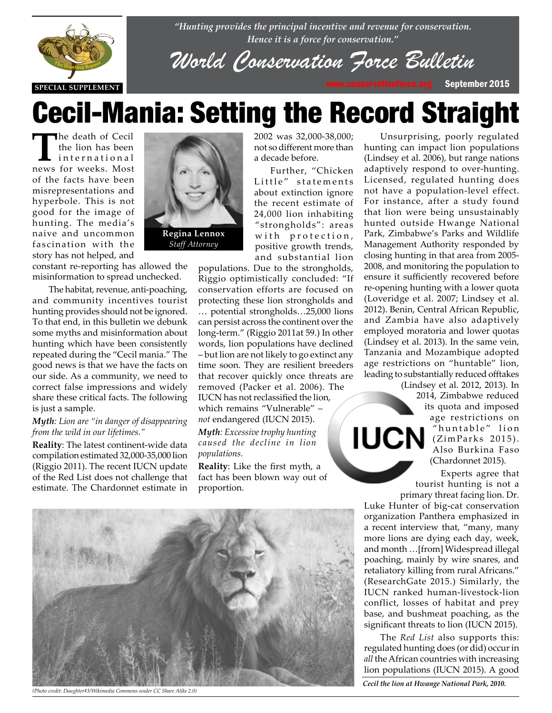

*"Hunting provides the principal incentive and revenue for conservation. Hence it is a force for conservation."*

*World Conservati[on Force Bul](http://www.conservationforce.org)letin*

# Cecil-Mania: Setting the Record Straight

The death of Cecil<br>the lion has been<br>international<br>news for weeks Most the lion has been news for weeks. Most of the facts have been misrepresentations and hyperbole. This is not good for the image of hunting. The media's naive and uncommon fascination with the story has not helped, and



constant re-reporting has allowed the misinformation to spread unchecked.

The habitat, revenue, anti-poaching, and community incentives tourist hunting provides should not be ignored. To that end, in this bulletin we debunk<br>some myths and misinformation about some myths and misinformation about hunting which have been consistently repeated during the "Cecil mania." The good news is that we have the facts on our side. As a community, we need to correct false impressions and widely share these critical facts. The following is just a sample.

## *Myth: Lion are "in danger of disappearing from the wild in our lifetimes."*

**Reality**: The latest continent-wide data compilation estimated 32,000-35,000 lion (Riggio 2011). The recent IUCN update of the Red List does not challenge that estimate. The Chardonnet estimate in

2002 was 32,000-38,000; not so different more than a decade before.

Further, "Chicken Little" statements about extinction ignore the recent estimate of 24,000 lion inhabiting "strongholds": areas with protection, positive growth trends, and substantial lion

populations. Due to the strongholds, Riggio optimistically concluded: "If conservation efforts are focused on protecting these lion strongholds and … potential strongholds…25,000 lions can persist across the continent over the long-term." (Riggio 2011at 59.) In other words, lion populations have declined – but lion are not likely to go extinct any time soon. They are resilient breeders that recover quickly once threats are removed (Packer et al. 2006). The IUCN has not reclassified the lion, which remains "Vulnerable" – *not* endangered (IUCN 2015). *Myth: Excessive trophy hunting caused the decline in lion populations.*

**Reality**: Like the first myth, a fact has been blown way out of proportion.

Unsurprising, poorly regulated hunting can impact lion populations (Lindsey et al. 2006), but range nations adaptively respond to over-hunting. Licensed, regulated hunting does not have a population-level effect. For instance, after a study found that lion were being unsustainably hunted outside Hwange National Park, Zimbabwe's Parks and Wildlife Management Authority responded by closing hunting in that area from 2005- 2008, and monitoring the population to ensure it sufficiently recovered before re-opening hunting with a lower quota (Loveridge et al. 2007; Lindsey et al. 2012). Benin, Central African Republic, and Zambia have also adaptively employed moratoria and lower quotas (Lindsey et al. 2013). In the same vein, Tanzania and Mozambique adopted age restrictions on "huntable" lion, leading to substantially reduced offtakes

(Lindsey et al. 2012, 2013). In 2014, Zimbabwe reduced its quota and imposed age restrictions on "huntable" lion  $\mathsf{IUCN}$   $\overset{\text{``huntable''}}{\underset{\text{Algo Burting Eocc}}{\text{Sur}}$ Also Burkina Faso (Chardonnet 2015).

> Experts agree that tourist hunting is not a primary threat facing lion. Dr.

Luke Hunter of big-cat conservation organization Panthera emphasized in a recent interview that, "many, many more lions are dying each day, week, and month …[from] Widespread illegal poaching, mainly by wire snares, and retaliatory killing from rural Africans." (ResearchGate 2015.) Similarly, the IUCN ranked human-livestock-lion conflict, losses of habitat and prey base, and bushmeat poaching, as the significant threats to lion (IUCN 2015).

The *Red List* also supports this: regulated hunting does (or did) occur in *all* the African countries with increasing lion populations (IUCN 2015). A good

*Cecil the lion at Hwange National Park, 2010.*



*(Photo credit: Daughter#3/Wikimedia Commons under CC Share Alike 2.0)*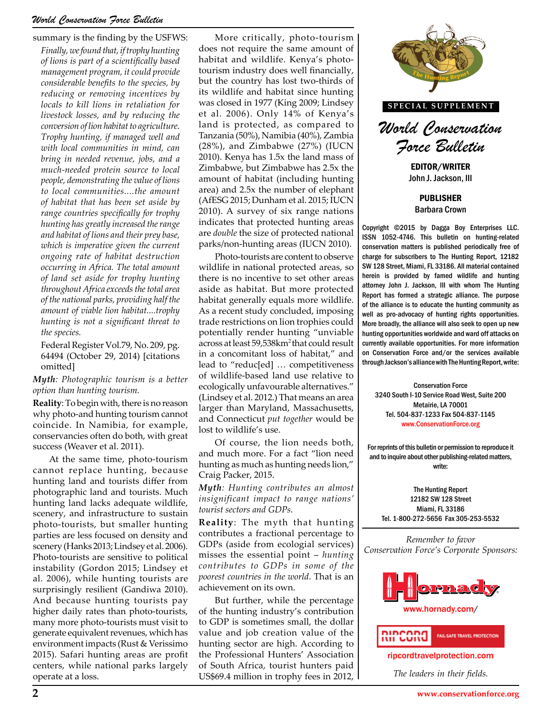# *World Conservation Force Bulletin*

#### summary is the finding by the USFWS:

*Finally, we found that, if trophy hunting of lions is part of a scientifically based management program, it could provide considerable benefits to the species, by reducing or removing incentives by locals to kill lions in retaliation for livestock losses, and by reducing the conversion of lion habitat to agriculture. Trophy hunting, if managed well and with local communities in mind, can bring in needed revenue, jobs, and a much-needed protein source to local people, demonstrating the value of lions to local communities....the amount of habitat that has been set aside by range countries specifically for trophy hunting has greatly increased the range and habitat of lions and their prey base, which is imperative given the current ongoing rate of habitat destruction occurring in Africa. The total amount of land set aside for trophy hunting throughout Africa exceeds the total area of the national parks, providing half the amount of viable lion habitat....trophy hunting is not a significant threat to the species.*

Federal Register Vol.79, No. 209, pg. 64494 (October 29, 2014) [citations omitted]

#### *Myth: Photographic tourism is a better option than hunting tourism.*

**Reality**: To begin with, there is no reason why photo-and hunting tourism cannot coincide. In Namibia, for example, conservancies often do both, with great success (Weaver et al. 2011).

At the same time, photo-tourism cannot replace hunting, because hunting land and tourists differ from photographic land and tourists. Much hunting land lacks adequate wildlife, scenery, and infrastructure to sustain photo-tourists, but smaller hunting parties are less focused on density and scenery (Hanks 2013; Lindsey et al. 2006). Photo-tourists are sensitive to political instability (Gordon 2015; Lindsey et al. 2006), while hunting tourists are surprisingly resilient (Gandiwa 2010). And because hunting tourists pay higher daily rates than photo-tourists, many more photo-tourists must visit to generate equivalent revenues, which has environment impacts (Rust & Verissimo 2015). Safari hunting areas are profit centers, while national parks largely operate at a loss.

More critically, photo-tourism does not require the same amount of habitat and wildlife. Kenya's phototourism industry does well financially, but the country has lost two-thirds of its wildlife and habitat since hunting was closed in 1977 (King 2009; Lindsey et al. 2006). Only 14% of Kenya's land is protected, as compared to Tanzania (50%), Namibia (40%), Zambia (28%), and Zimbabwe (27%) (IUCN 2010). Kenya has 1.5x the land mass of Zimbabwe, but Zimbabwe has 2.5x the amount of habitat (including hunting area) and 2.5x the number of elephant (AfESG 2015; Dunham et al. 2015; IUCN 2010). A survey of six range nations indicates that protected hunting areas are *double* the size of protected national parks/non-hunting areas (IUCN 2010).

Photo-tourists are content to observe wildlife in national protected areas, so there is no incentive to set other areas aside as habitat. But more protected habitat generally equals more wildlife. As a recent study concluded, imposing trade restrictions on lion trophies could potentially render hunting "unviable across at least 59,538km<sup>2</sup> that could result in a concomitant loss of habitat," and lead to "reduc[ed] … competitiveness of wildlife-based land use relative to ecologically unfavourable alternatives." (Lindsey et al. 2012.) That means an area larger than Maryland, Massachusetts, and Connecticut *put together* would be lost to wildlife's use.

Of course, the lion needs both, and much more. For a fact "lion need hunting as much as hunting needs lion," Craig Packer, 2015.

*Myth: Hunting contributes an almost insignificant impact to range nations' tourist sectors and GDPs.*

**Reality**: The myth that hunting contributes a fractional percentage to GDPs (aside from ecologial services) misses the essential point – *hunting contributes to GDPs in some of the poorest countries in the world*. That is an achievement on its own.

But further, while the percentage of the hunting industry's contribution to GDP is sometimes small, the dollar value and job creation value of the hunting sector are high. According to the Professional Hunters' Association of South Africa, tourist hunters paid US\$69.4 million in trophy fees in 2012,



**SPECIAL SUPPLEMENT**



EDITOR/WRITER John J. Jackson, III

PUBLISHER Barbara Crown

Copyright ©2015 by Dagga Boy Enterprises LLC. ISSN 1052-4746. This bulletin on hunting-related conservation matters is published periodically free of charge for subscribers to The Hunting Report, 12182 SW 128 Street, Miami, FL 33186. All material contained herein is provided by famed wildlife and hunting attorney John J. Jackson, III with whom The Hunting Report has formed a strategic alliance. The purpose of the alliance is to educate the hunting community as well as pro-advocacy of hunting rights opportunities. More broadly, the alliance will also seek to open up new hunting opportunities worldwide and ward off attacks on currently available opportunities. For more information  $\begin{bmatrix} 8 \text{km}^2 \text{ that could result} \\ \text{loss of habitat," and} \end{bmatrix}$  currently available opportunities. For more information conservation Force and/or the services available through lockson's alliance with The Hunting Benert write: through Jackson's alliance with The Hunting Report, write:

Conservation Force out able afternatives.<br>
.) That means an area 3240 South I-10 Service Road West, Suite 200<br>
and Massachusetts. Metairie, LA 70001 Metairie, LA 70001 Tel. 504-837-1233 Fax 504-837-1145 [www.ConservationForce.org](http://www.ConservationForce.org)

> For reprints of this bulletin or permission to reproduce it and to inquire about other publishing-related matters, write:

The Hunting Report 12182 SW 128 Street Miami, FL 33186 Tel. 1-800-272-5656 Fax 305-253-5532

*Remember to favor Conservation Force's Corporate Sponsors:*





[ripcordtravelprotection.com](http://ripcordtravelprotection.com)

*The leaders in their fields.*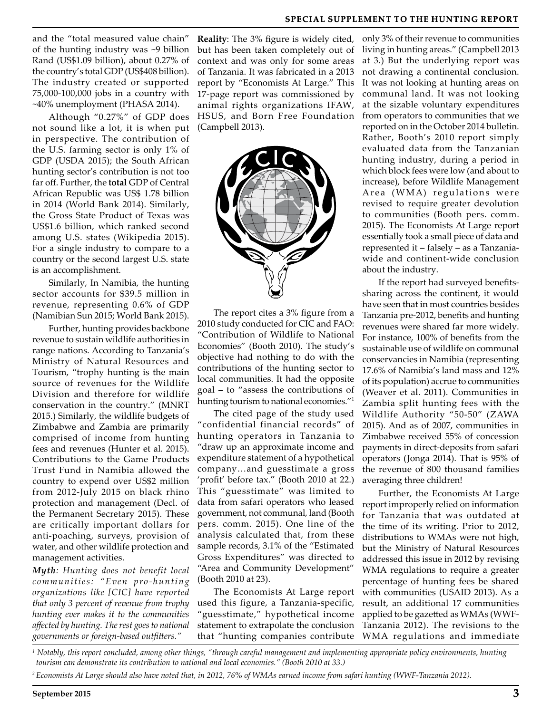# **SPECIAL SUPPLEMENT TO THE HUNTING REPORT**

and the "total measured value chain" of the hunting industry was ~9 billion Rand (US\$1.09 billion), about 0.27% of the country's total GDP (US\$408 billion). The industry created or supported 75,000-100,000 jobs in a country with ~40% unemployment (PHASA 2014).

Although "0.27%" of GDP does not sound like a lot, it is when put in perspective. The contribution of the U.S. farming sector is only 1% of GDP (USDA 2015); the South African hunting sector's contribution is not too far off. Further, the **total** GDP of Central African Republic was US\$ 1.78 billion in 2014 (World Bank 2014). Similarly, the Gross State Product of Texas was US\$1.6 billion, which ranked second among U.S. states (Wikipedia 2015). For a single industry to compare to a country or the second largest U.S. state is an accomplishment.

Similarly, In Namibia, the hunting sector accounts for \$39.5 million in revenue, representing 0.6% of GDP (Namibian Sun 2015; World Bank 2015).

Further, hunting provides backbone revenue to sustain wildlife authorities in range nations. According to Tanzania's Ministry of Natural Resources and Tourism, "trophy hunting is the main source of revenues for the Wildlife Division and therefore for wildlife conservation in the country." (MNRT 2015.) Similarly, the wildlife budgets of Zimbabwe and Zambia are primarily comprised of income from hunting fees and revenues (Hunter et al. 2015). Contributions to the Game Products Trust Fund in Namibia allowed the country to expend over US\$2 million from 2012-July 2015 on black rhino protection and management (Decl. of the Permanent Secretary 2015). These are critically important dollars for anti-poaching, surveys, provision of water, and other wildlife protection and management activities.

*Myth: Hunting does not benefit local communities: "Even pro-hunting organizations like [CIC] have reported that only 3 percent of revenue from trophy hunting ever makes it to the communities affected by hunting. The rest goes to national governments or foreign-based outfitters."*

**Reality**: The 3% figure is widely cited, but has been taken completely out of context and was only for some areas of Tanzania. It was fabricated in a 2013 report by "Economists At Large." This 17-page report was commissioned by animal rights organizations IFAW, HSUS, and Born Free Foundation (Campbell 2013).



The report cites a 3% figure from a 2010 study conducted for CIC and FAO: "Contribution of Wildlife to National Economies" (Booth 2010). The study's objective had nothing to do with the contributions of the hunting sector to local communities. It had the opposite goal – to "assess the contributions of hunting tourism to national economies."<sup>1</sup>

The cited page of the study used "confidential financial records" of hunting operators in Tanzania to "draw up an approximate income and expenditure statement of a hypothetical company…and guesstimate a gross 'profit' before tax." (Booth 2010 at 22.) This "guesstimate" was limited to data from safari operators who leased government, not communal, land (Booth pers. comm. 2015). One line of the analysis calculated that, from these sample records, 3.1% of the "Estimated Gross Expenditures" was directed to "Area and Community Development" (Booth 2010 at 23).

The Economists At Large report used this figure, a Tanzania-specific, "guesstimate," hypothetical income statement to extrapolate the conclusion that "hunting companies contribute

only 3% of their revenue to communities living in hunting areas." (Campbell 2013 at 3.) But the underlying report was not drawing a continental conclusion. It was not looking at hunting areas on communal land. It was not looking at the sizable voluntary expenditures from operators to communities that we reported on in the October 2014 bulletin. Rather, Booth's 2010 report simply evaluated data from the Tanzanian hunting industry, during a period in which block fees were low (and about to increase), before Wildlife Management Area (WMA) regulations were revised to require greater devolution to communities (Booth pers. comm. 2015). The Economists At Large report essentially took a small piece of data and represented it – falsely – as a Tanzaniawide and continent-wide conclusion about the industry.

If the report had surveyed benefitssharing across the continent, it would have seen that in most countries besides Tanzania pre-2012, benefits and hunting revenues were shared far more widely. For instance, 100% of benefits from the sustainable use of wildlife on communal conservancies in Namibia (representing 17.6% of Namibia's land mass and 12% of its population) accrue to communities (Weaver et al. 2011). Communities in Zambia split hunting fees with the Wildlife Authority "50-50" (ZAWA 2015). And as of 2007, communities in Zimbabwe received 55% of concession payments in direct-deposits from safari operators (Jonga 2014). That is 95% of the revenue of 800 thousand families averaging three children!

Further, the Economists At Large report improperly relied on information for Tanzania that was outdated at the time of its writing. Prior to 2012, distributions to WMAs were not high, but the Ministry of Natural Resources addressed this issue in 2012 by revising WMA regulations to require a greater percentage of hunting fees be shared with communities (USAID 2013). As a result, an additional 17 communities applied to be gazetted as WMAs (WWF-Tanzania 2012). The revisions to the WMA regulations and immediate

*1 Notably, this report concluded, among other things, "through careful management and implementing appropriate policy environments, hunting tourism can demonstrate its contribution to national and local economies." (Booth 2010 at 33.)*

*2 Economists At Large should also have noted that, in 2012, 76% of WMAs earned income from safari hunting (WWF-Tanzania 2012).*